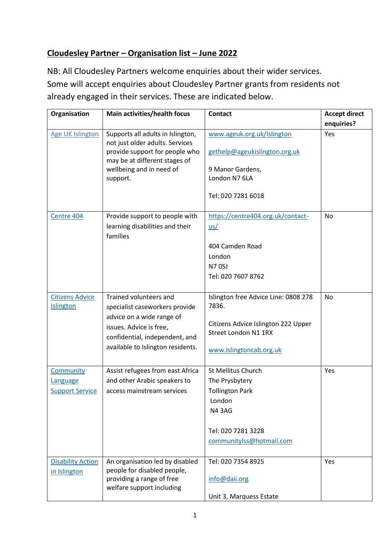## **Cloudesley Partner – Organisation list – June 2022**

NB: All Cloudesley Partners welcome enquiries about their wider services. Some will accept enquiries about Cloudesley Partner grants from residents not already engaged in their services. These are indicated below.

| Organisation                                    | Main activities/health focus                                                                                                                                                            | <b>Contact</b>                                                                                                                                    | <b>Accept direct</b><br>enquiries? |
|-------------------------------------------------|-----------------------------------------------------------------------------------------------------------------------------------------------------------------------------------------|---------------------------------------------------------------------------------------------------------------------------------------------------|------------------------------------|
| <b>Age UK Islington</b>                         | Supports all adults in Islington,<br>not just older adults. Services<br>provide support for people who<br>may be at different stages of<br>wellbeing and in need of<br>support.         | www.ageuk.org.uk/Islington<br>gethelp@ageukislington.org.uk<br>9 Manor Gardens,<br>London N7 6LA<br>Tel: 020 7281 6018                            | Yes                                |
| Centre 404                                      | Provide support to people with<br>learning disabilities and their<br>families                                                                                                           | https://centre404.org.uk/contact-<br>$us/$<br>404 Camden Road<br>London<br><b>N70SJ</b><br>Tel: 020 7607 8762                                     | No                                 |
| <b>Citizens Advice</b><br>Islington             | Trained volunteers and<br>specialist caseworkers provide<br>advice on a wide range of<br>issues. Advice is free,<br>confidential, independent, and<br>available to Islington residents. | Islington free Advice Line: 0808 278<br>7836.<br>Citizens Advice Islington 222 Upper<br>Street London N1 1RX<br>www.islingtoncab.org.uk           | <b>No</b>                          |
| Community<br>Language<br><b>Support Service</b> | Assist refugees from east Africa<br>and other Arabic speakers to<br>access mainstream services                                                                                          | <b>St Mellitus Church</b><br>The Prysbytery<br><b>Tollington Park</b><br>London<br><b>N43AG</b><br>Tel: 020 7281 3228<br>communitylss@hotmail.com | Yes                                |
| <b>Disability Action</b><br>in Islington        | An organisation led by disabled<br>people for disabled people,<br>providing a range of free<br>welfare support including                                                                | Tel: 020 7354 8925<br>info@daii.org<br>Unit 3, Marquess Estate                                                                                    | Yes                                |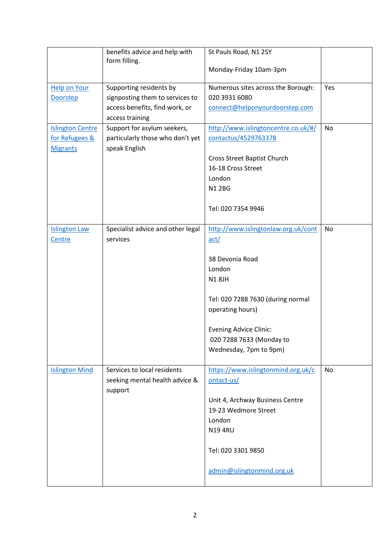|                                                              | benefits advice and help with<br>form filling.                                                                  | St Pauls Road, N1 2SY<br>Monday-Friday 10am-3pm                                                                                                                                                                                          |           |
|--------------------------------------------------------------|-----------------------------------------------------------------------------------------------------------------|------------------------------------------------------------------------------------------------------------------------------------------------------------------------------------------------------------------------------------------|-----------|
| <b>Help on Your</b><br><b>Doorstep</b>                       | Supporting residents by<br>signposting them to services to<br>access benefits, find work, or<br>access training | Numerous sites across the Borough:<br>020 3931 6080<br>connect@helponyourdoorstep.com                                                                                                                                                    | Yes       |
| <b>Islington Centre</b><br>for Refugees &<br><b>Migrants</b> | Support for asylum seekers,<br>particularly those who don't yet<br>speak English                                | http://www.islingtoncentre.co.uk/#/<br>contactus/4529763378<br>Cross Street Baptist Church<br>16-18 Cross Street<br>London<br><b>N12BG</b><br>Tel: 020 7354 9946                                                                         | <b>No</b> |
| <b>Islington Law</b><br>Centre                               | Specialist advice and other legal<br>services                                                                   | http://www.islingtonlaw.org.uk/cont<br>act/<br>38 Devonia Road<br>London<br><b>N18JH</b><br>Tel: 020 7288 7630 (during normal<br>operating hours)<br><b>Evening Advice Clinic:</b><br>020 7288 7633 (Monday to<br>Wednesday, 7pm to 9pm) | <b>No</b> |
| <b>Islington Mind</b>                                        | Services to local residents<br>seeking mental health advice &<br>support                                        | https://www.islingtonmind.org.uk/c<br>ontact-us/<br>Unit 4, Archway Business Centre<br>19-23 Wedmore Street<br>London<br><b>N194RU</b><br>Tel: 020 3301 9850<br>admin@islingtonmind.org.uk                                               | <b>No</b> |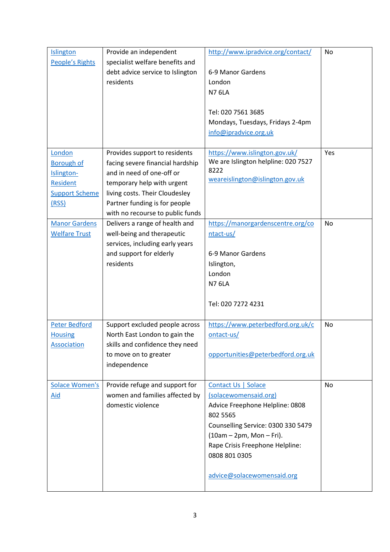| <b>Islington</b>       | Provide an independent           | http://www.ipradvice.org/contact/   | <b>No</b> |
|------------------------|----------------------------------|-------------------------------------|-----------|
| <b>People's Rights</b> | specialist welfare benefits and  |                                     |           |
|                        | debt advice service to Islington | 6-9 Manor Gardens                   |           |
|                        | residents                        | London                              |           |
|                        |                                  | <b>N7 6LA</b>                       |           |
|                        |                                  |                                     |           |
|                        |                                  | Tel: 020 7561 3685                  |           |
|                        |                                  | Mondays, Tuesdays, Fridays 2-4pm    |           |
|                        |                                  | info@ipradvice.org.uk               |           |
| London                 | Provides support to residents    | https://www.islington.gov.uk/       | Yes       |
| <b>Borough of</b>      | facing severe financial hardship | We are Islington helpline: 020 7527 |           |
| Islington-             | and in need of one-off or        | 8222                                |           |
| <b>Resident</b>        | temporary help with urgent       | weareislington@islington.gov.uk     |           |
| <b>Support Scheme</b>  | living costs. Their Cloudesley   |                                     |           |
| (RSS)                  | Partner funding is for people    |                                     |           |
|                        | with no recourse to public funds |                                     |           |
| <b>Manor Gardens</b>   | Delivers a range of health and   | https://manorgardenscentre.org/co   | <b>No</b> |
| <b>Welfare Trust</b>   | well-being and therapeutic       | ntact-us/                           |           |
|                        | services, including early years  |                                     |           |
|                        | and support for elderly          | 6-9 Manor Gardens                   |           |
|                        | residents                        | Islington,                          |           |
|                        |                                  | London                              |           |
|                        |                                  | <b>N7 6LA</b>                       |           |
|                        |                                  |                                     |           |
|                        |                                  | Tel: 020 7272 4231                  |           |
|                        |                                  |                                     |           |
| Peter Bedford          | Support excluded people across   | https://www.peterbedford.org.uk/c   | <b>No</b> |
| <b>Housing</b>         | North East London to gain the    | ontact-us/                          |           |
| <b>Association</b>     | skills and confidence they need  |                                     |           |
|                        | to move on to greater            | opportunities@peterbedford.org.uk   |           |
|                        | independence                     |                                     |           |
| <b>Solace Women's</b>  | Provide refuge and support for   | Contact Us   Solace                 | No        |
| Aid                    | women and families affected by   | (solacewomensaid.org)               |           |
|                        | domestic violence                | Advice Freephone Helpline: 0808     |           |
|                        |                                  | 802 5565                            |           |
|                        |                                  | Counselling Service: 0300 330 5479  |           |
|                        |                                  | $(10am - 2pm, Mon - Fri)$ .         |           |
|                        |                                  | Rape Crisis Freephone Helpline:     |           |
|                        |                                  | 0808 801 0305                       |           |
|                        |                                  |                                     |           |
|                        |                                  | advice@solacewomensaid.org          |           |
|                        |                                  |                                     |           |